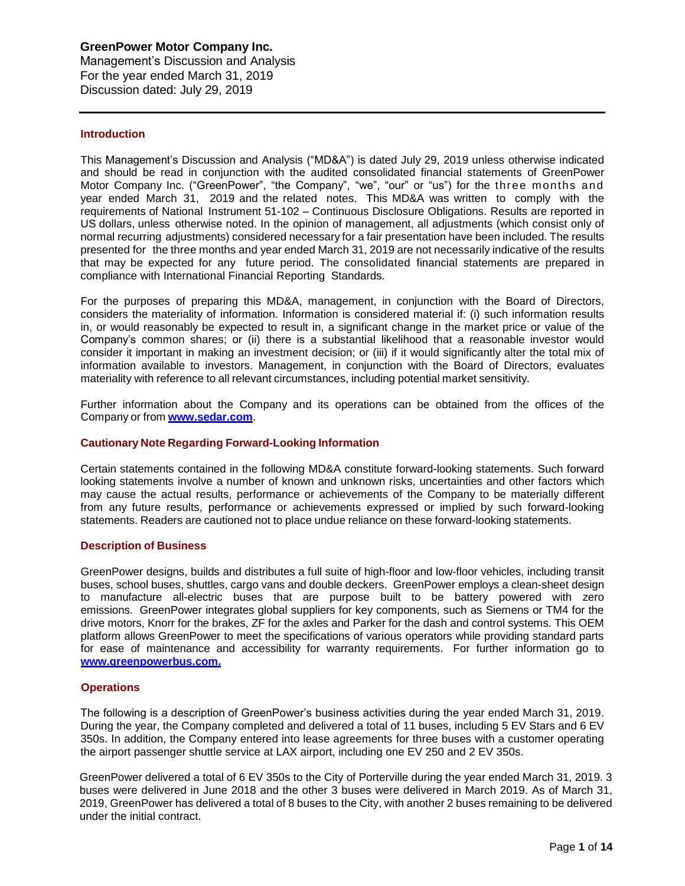Management's Discussion and Analysis For the year ended March 31, 2019 Discussion dated: July 29, 2019

### **Introduction**

This Management's Discussion and Analysis ("MD&A") is dated July 29, 2019 unless otherwise indicated and should be read in conjunction with the audited consolidated financial statements of GreenPower Motor Company Inc. ("GreenPower", "the Company", "we", "our" or "us") for the three months and year ended March 31, 2019 and the related notes. This MD&A was written to comply with the requirements of National Instrument 51-102 – Continuous Disclosure Obligations. Results are reported in US dollars, unless otherwise noted. In the opinion of management, all adjustments (which consist only of normal recurring adjustments) considered necessary for a fair presentation have been included. The results presented for the three months and year ended March 31, 2019 are not necessarily indicative of the results that may be expected for any future period. The consolidated financial statements are prepared in compliance with International Financial Reporting Standards.

For the purposes of preparing this MD&A, management, in conjunction with the Board of Directors, considers the materiality of information. Information is considered material if: (i) such information results in, or would reasonably be expected to result in, a significant change in the market price or value of the Company's common shares; or (ii) there is a substantial likelihood that a reasonable investor would consider it important in making an investment decision; or (iii) if it would significantly alter the total mix of information available to investors. Management, in conjunction with the Board of Directors, evaluates materiality with reference to all relevant circumstances, including potential market sensitivity.

Further information about the Company and its operations can be obtained from the offices of the Company or from **[www.sedar.com](http://www.sedar.com/)**.

### **Cautionary Note Regarding Forward-Looking Information**

Certain statements contained in the following MD&A constitute forward-looking statements. Such forward looking statements involve a number of known and unknown risks, uncertainties and other factors which may cause the actual results, performance or achievements of the Company to be materially different from any future results, performance or achievements expressed or implied by such forward-looking statements. Readers are cautioned not to place undue reliance on these forward-looking statements.

#### **Description of Business**

GreenPower designs, builds and distributes a full suite of high-floor and low-floor vehicles, including transit buses, school buses, shuttles, cargo vans and double deckers. GreenPower employs a clean-sheet design to manufacture all-electric buses that are purpose built to be battery powered with zero emissions. GreenPower integrates global suppliers for key components, such as Siemens or TM4 for the drive motors, Knorr for the brakes, ZF for the axles and Parker for the dash and control systems. This OEM platform allows GreenPower to meet the specifications of various operators while providing standard parts for ease of maintenance and accessibility for warranty requirements. For further information go to **[www.greenpowerbus.com.](http://www.greenpowerbus.com/)**

#### **Operations**

The following is a description of GreenPower's business activities during the year ended March 31, 2019. During the year, the Company completed and delivered a total of 11 buses, including 5 EV Stars and 6 EV 350s. In addition, the Company entered into lease agreements for three buses with a customer operating the airport passenger shuttle service at LAX airport, including one EV 250 and 2 EV 350s.

GreenPower delivered a total of 6 EV 350s to the City of Porterville during the year ended March 31, 2019. 3 buses were delivered in June 2018 and the other 3 buses were delivered in March 2019. As of March 31, 2019, GreenPower has delivered a total of 8 buses to the City, with another 2 buses remaining to be delivered under the initial contract.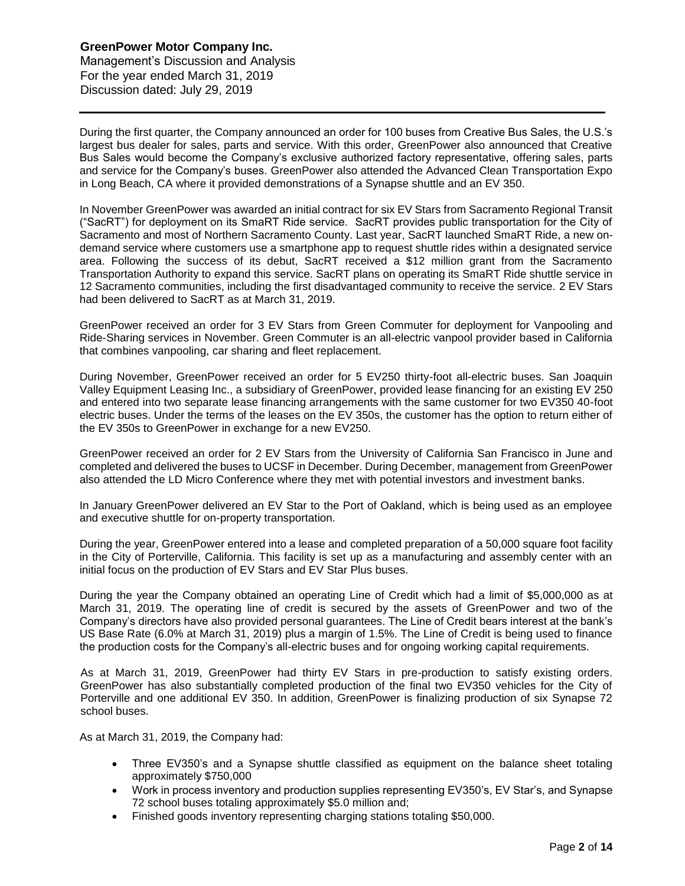Management's Discussion and Analysis For the year ended March 31, 2019 Discussion dated: July 29, 2019

During the first quarter, the Company announced an order for 100 buses from Creative Bus Sales, the U.S.'s largest bus dealer for sales, parts and service. With this order, GreenPower also announced that Creative Bus Sales would become the Company's exclusive authorized factory representative, offering sales, parts and service for the Company's buses. GreenPower also attended the Advanced Clean Transportation Expo in Long Beach, CA where it provided demonstrations of a Synapse shuttle and an EV 350.

In November GreenPower was awarded an initial contract for six EV Stars from Sacramento Regional Transit ("SacRT") for deployment on its SmaRT Ride service. SacRT provides public transportation for the City of Sacramento and most of Northern Sacramento County. Last year, SacRT launched SmaRT Ride, a new ondemand service where customers use a smartphone app to request shuttle rides within a designated service area. Following the success of its debut, SacRT received a \$12 million grant from the Sacramento Transportation Authority to expand this service. SacRT plans on operating its SmaRT Ride shuttle service in 12 Sacramento communities, including the first disadvantaged community to receive the service. 2 EV Stars had been delivered to SacRT as at March 31, 2019.

GreenPower received an order for 3 EV Stars from Green Commuter for deployment for Vanpooling and Ride-Sharing services in November. Green Commuter is an all-electric vanpool provider based in California that combines vanpooling, car sharing and fleet replacement.

During November, GreenPower received an order for 5 EV250 thirty-foot all-electric buses. San Joaquin Valley Equipment Leasing Inc., a subsidiary of GreenPower, provided lease financing for an existing EV 250 and entered into two separate lease financing arrangements with the same customer for two EV350 40-foot electric buses. Under the terms of the leases on the EV 350s, the customer has the option to return either of the EV 350s to GreenPower in exchange for a new EV250.

GreenPower received an order for 2 EV Stars from the University of California San Francisco in June and completed and delivered the buses to UCSF in December. During December, management from GreenPower also attended the LD Micro Conference where they met with potential investors and investment banks.

In January GreenPower delivered an EV Star to the Port of Oakland, which is being used as an employee and executive shuttle for on-property transportation.

During the year, GreenPower entered into a lease and completed preparation of a 50,000 square foot facility in the City of Porterville, California. This facility is set up as a manufacturing and assembly center with an initial focus on the production of EV Stars and EV Star Plus buses.

During the year the Company obtained an operating Line of Credit which had a limit of \$5,000,000 as at March 31, 2019. The operating line of credit is secured by the assets of GreenPower and two of the Company's directors have also provided personal guarantees. The Line of Credit bears interest at the bank's US Base Rate (6.0% at March 31, 2019) plus a margin of 1.5%. The Line of Credit is being used to finance the production costs for the Company's all-electric buses and for ongoing working capital requirements.

As at March 31, 2019, GreenPower had thirty EV Stars in pre-production to satisfy existing orders. GreenPower has also substantially completed production of the final two EV350 vehicles for the City of Porterville and one additional EV 350. In addition, GreenPower is finalizing production of six Synapse 72 school buses.

As at March 31, 2019, the Company had:

- Three EV350's and a Synapse shuttle classified as equipment on the balance sheet totaling approximately \$750,000
- Work in process inventory and production supplies representing EV350's, EV Star's, and Synapse 72 school buses totaling approximately \$5.0 million and;
- Finished goods inventory representing charging stations totaling \$50,000.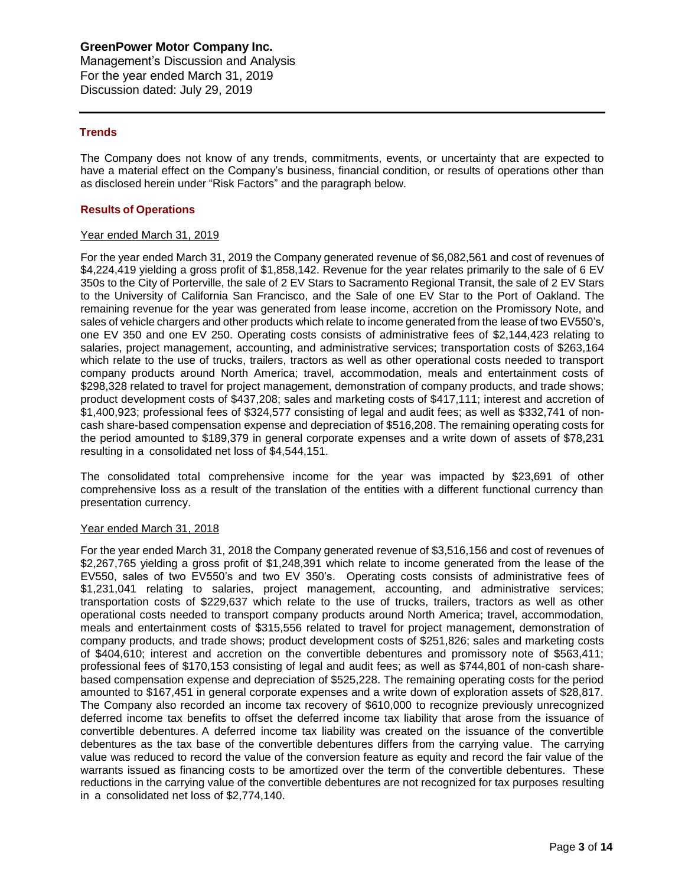Management's Discussion and Analysis For the year ended March 31, 2019 Discussion dated: July 29, 2019

## **Trends**

The Company does not know of any trends, commitments, events, or uncertainty that are expected to have a material effect on the Company's business, financial condition, or results of operations other than as disclosed herein under "Risk Factors" and the paragraph below.

### **Results of Operations**

### Year ended March 31, 2019

For the year ended March 31, 2019 the Company generated revenue of \$6,082,561 and cost of revenues of \$4,224,419 yielding a gross profit of \$1,858,142. Revenue for the year relates primarily to the sale of 6 EV 350s to the City of Porterville, the sale of 2 EV Stars to Sacramento Regional Transit, the sale of 2 EV Stars to the University of California San Francisco, and the Sale of one EV Star to the Port of Oakland. The remaining revenue for the year was generated from lease income, accretion on the Promissory Note, and sales of vehicle chargers and other products which relate to income generated from the lease of two EV550's, one EV 350 and one EV 250. Operating costs consists of administrative fees of \$2,144,423 relating to salaries, project management, accounting, and administrative services; transportation costs of \$263,164 which relate to the use of trucks, trailers, tractors as well as other operational costs needed to transport company products around North America; travel, accommodation, meals and entertainment costs of \$298,328 related to travel for project management, demonstration of company products, and trade shows; product development costs of \$437,208; sales and marketing costs of \$417,111; interest and accretion of \$1,400,923; professional fees of \$324,577 consisting of legal and audit fees; as well as \$332,741 of noncash share-based compensation expense and depreciation of \$516,208. The remaining operating costs for the period amounted to \$189,379 in general corporate expenses and a write down of assets of \$78,231 resulting in a consolidated net loss of \$4,544,151.

The consolidated total comprehensive income for the year was impacted by \$23,691 of other comprehensive loss as a result of the translation of the entities with a different functional currency than presentation currency.

### Year ended March 31, 2018

For the year ended March 31, 2018 the Company generated revenue of \$3,516,156 and cost of revenues of \$2,267,765 yielding a gross profit of \$1,248,391 which relate to income generated from the lease of the EV550, sales of two EV550's and two EV 350's. Operating costs consists of administrative fees of \$1,231,041 relating to salaries, project management, accounting, and administrative services; transportation costs of \$229,637 which relate to the use of trucks, trailers, tractors as well as other operational costs needed to transport company products around North America; travel, accommodation, meals and entertainment costs of \$315,556 related to travel for project management, demonstration of company products, and trade shows; product development costs of \$251,826; sales and marketing costs of \$404,610; interest and accretion on the convertible debentures and promissory note of \$563,411; professional fees of \$170,153 consisting of legal and audit fees; as well as \$744,801 of non-cash sharebased compensation expense and depreciation of \$525,228. The remaining operating costs for the period amounted to \$167,451 in general corporate expenses and a write down of exploration assets of \$28,817. The Company also recorded an income tax recovery of \$610,000 to recognize previously unrecognized deferred income tax benefits to offset the deferred income tax liability that arose from the issuance of convertible debentures. A deferred income tax liability was created on the issuance of the convertible debentures as the tax base of the convertible debentures differs from the carrying value. The carrying value was reduced to record the value of the conversion feature as equity and record the fair value of the warrants issued as financing costs to be amortized over the term of the convertible debentures. These reductions in the carrying value of the convertible debentures are not recognized for tax purposes resulting in a consolidated net loss of \$2,774,140.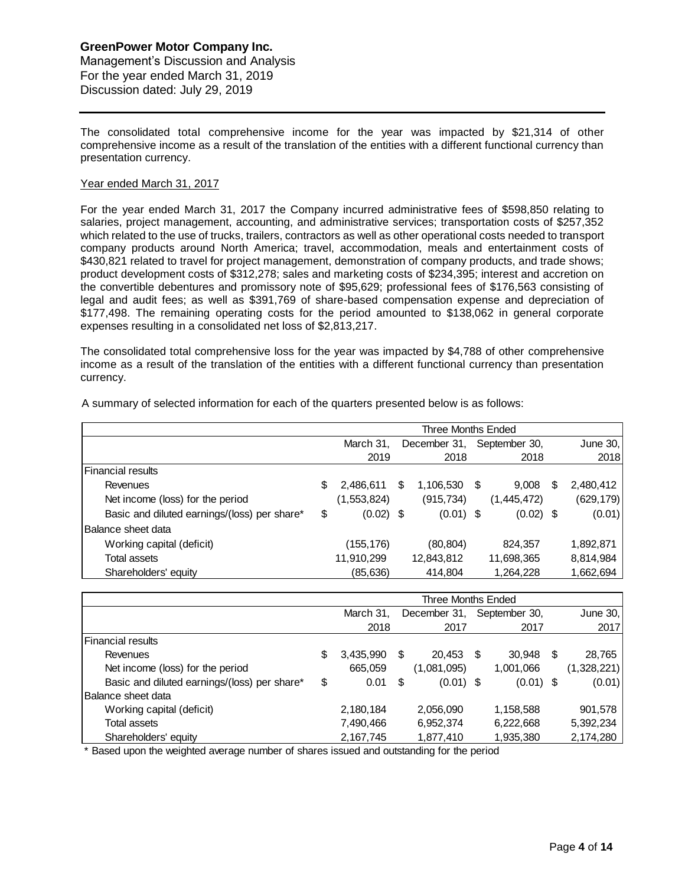## **GreenPower Motor Company Inc.** Management's Discussion and Analysis For the year ended March 31, 2019 Discussion dated: July 29, 2019

The consolidated total comprehensive income for the year was impacted by \$21,314 of other comprehensive income as a result of the translation of the entities with a different functional currency than presentation currency.

### Year ended March 31, 2017

For the year ended March 31, 2017 the Company incurred administrative fees of \$598,850 relating to salaries, project management, accounting, and administrative services; transportation costs of \$257,352 which related to the use of trucks, trailers, contractors as well as other operational costs needed to transport company products around North America; travel, accommodation, meals and entertainment costs of \$430,821 related to travel for project management, demonstration of company products, and trade shows; product development costs of \$312,278; sales and marketing costs of \$234,395; interest and accretion on the convertible debentures and promissory note of \$95,629; professional fees of \$176,563 consisting of legal and audit fees; as well as \$391,769 of share-based compensation expense and depreciation of \$177,498. The remaining operating costs for the period amounted to \$138,062 in general corporate expenses resulting in a consolidated net loss of \$2,813,217.

The consolidated total comprehensive loss for the year was impacted by \$4,788 of other comprehensive income as a result of the translation of the entities with a different functional currency than presentation currency.

|                                              | Three Months Ended |             |   |              |      |               |   |            |  |
|----------------------------------------------|--------------------|-------------|---|--------------|------|---------------|---|------------|--|
|                                              | March 31.          |             |   | December 31, |      | September 30, |   | June $30,$ |  |
|                                              |                    | 2019        |   | 2018         |      | 2018          |   | 2018       |  |
| lFinancial results                           |                    |             |   |              |      |               |   |            |  |
| Revenues                                     | \$                 | 2,486,611   | S | 1,106,530    | - \$ | 9,008         | S | 2,480,412  |  |
| Net income (loss) for the period             |                    | (1,553,824) |   | (915, 734)   |      | (1,445,472)   |   | (629, 179) |  |
| Basic and diluted earnings/(loss) per share* | \$                 | $(0.02)$ \$ |   | $(0.01)$ \$  |      | $(0.02)$ \$   |   | (0.01)     |  |
| Balance sheet data                           |                    |             |   |              |      |               |   |            |  |
| Working capital (deficit)                    |                    | (155,176)   |   | (80, 804)    |      | 824,357       |   | 1,892,871  |  |
| Total assets                                 |                    | 11,910,299  |   | 12,843,812   |      | 11,698,365    |   | 8,814,984  |  |
| Shareholders' equity                         |                    | (85,636)    |   | 414.804      |      | 1,264,228     |   | 1,662,694  |  |

A summary of selected information for each of the quarters presented below is as follows:

|                                              | Three Months Ended |    |              |      |               |     |             |  |
|----------------------------------------------|--------------------|----|--------------|------|---------------|-----|-------------|--|
|                                              | March 31,          |    | December 31, |      | September 30, |     | June $30,$  |  |
|                                              | 2018               |    | 2017         |      | 2017          |     | 2017        |  |
| Financial results                            |                    |    |              |      |               |     |             |  |
| Revenues                                     | \$<br>3,435,990    | \$ | 20,453       | - \$ | 30,948        | \$. | 28,765      |  |
| Net income (loss) for the period             | 665,059            |    | (1,081,095)  |      | 1,001,066     |     | (1,328,221) |  |
| Basic and diluted earnings/(loss) per share* | \$<br>0.01         | \$ | $(0.01)$ \$  |      | $(0.01)$ \$   |     | (0.01)      |  |
| Balance sheet data                           |                    |    |              |      |               |     |             |  |
| Working capital (deficit)                    | 2,180,184          |    | 2,056,090    |      | 1,158,588     |     | 901,578     |  |
| Total assets                                 | 7,490,466          |    | 6,952,374    |      | 6,222,668     |     | 5,392,234   |  |
| Shareholders' equity                         | 2,167,745          |    | 1,877,410    |      | 1,935,380     |     | 2,174,280   |  |

\* Based upon the weighted average number of shares issued and outstanding for the period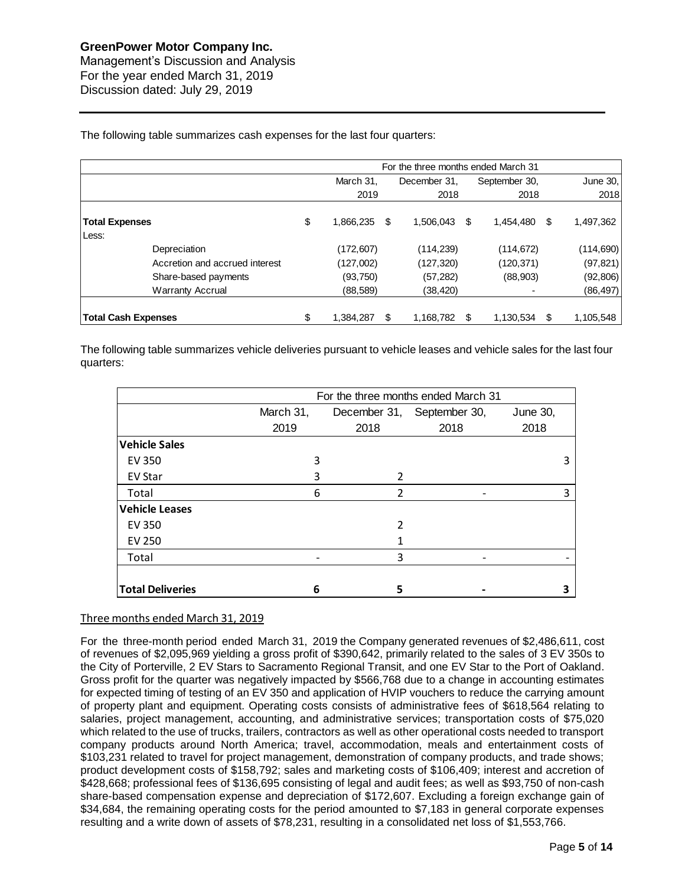Management's Discussion and Analysis For the year ended March 31, 2019 Discussion dated: July 29, 2019

The following table summarizes cash expenses for the last four quarters:

|                                | For the three months ended March 31 |           |                |                  |      |            |  |  |  |
|--------------------------------|-------------------------------------|-----------|----------------|------------------|------|------------|--|--|--|
|                                |                                     | March 31. | December 31.   | September 30,    |      | June 30,   |  |  |  |
|                                |                                     | 2019      | 2018           | 2018             |      | 2018       |  |  |  |
| <b>Total Expenses</b><br>Less: | \$                                  | 1,866,235 | S<br>1.506.043 | 1.454.480<br>-S  | - \$ | 1,497,362  |  |  |  |
| Depreciation                   |                                     | (172,607) | (114, 239)     | (114, 672)       |      | (114, 690) |  |  |  |
| Accretion and accrued interest |                                     | (127,002) | (127, 320)     | (120, 371)       |      | (97, 821)  |  |  |  |
| Share-based payments           |                                     | (93, 750) | (57,282)       | (88,903)         |      | (92, 806)  |  |  |  |
| <b>Warranty Accrual</b>        |                                     | (88, 589) | (38,420)       |                  |      | (86, 497)  |  |  |  |
| <b>Total Cash Expenses</b>     | \$                                  | 1.384.287 | 1.168.782<br>S | 1.130.534<br>\$. | -S   | 1.105.548  |  |  |  |

The following table summarizes vehicle deliveries pursuant to vehicle leases and vehicle sales for the last four quarters:

|                         | For the three months ended March 31 |                |               |          |  |  |  |  |  |
|-------------------------|-------------------------------------|----------------|---------------|----------|--|--|--|--|--|
|                         | March 31,                           | December 31,   | September 30, | June 30, |  |  |  |  |  |
|                         | 2019                                | 2018           | 2018          | 2018     |  |  |  |  |  |
| <b>Vehicle Sales</b>    |                                     |                |               |          |  |  |  |  |  |
| <b>EV 350</b>           | 3                                   |                |               | 3        |  |  |  |  |  |
| <b>EV Star</b>          | 3                                   | $\mathcal{P}$  |               |          |  |  |  |  |  |
| Total                   | 6                                   | $\overline{2}$ |               | 3        |  |  |  |  |  |
| <b>Vehicle Leases</b>   |                                     |                |               |          |  |  |  |  |  |
| <b>EV 350</b>           |                                     | 2              |               |          |  |  |  |  |  |
| EV 250                  |                                     |                |               |          |  |  |  |  |  |
| Total                   |                                     | 3              |               |          |  |  |  |  |  |
|                         |                                     |                |               |          |  |  |  |  |  |
| <b>Total Deliveries</b> | 6                                   | 5              |               |          |  |  |  |  |  |

## Three months ended March 31, 2019

For the three-month period ended March 31, 2019 the Company generated revenues of \$2,486,611, cost of revenues of \$2,095,969 yielding a gross profit of \$390,642, primarily related to the sales of 3 EV 350s to the City of Porterville, 2 EV Stars to Sacramento Regional Transit, and one EV Star to the Port of Oakland. Gross profit for the quarter was negatively impacted by \$566,768 due to a change in accounting estimates for expected timing of testing of an EV 350 and application of HVIP vouchers to reduce the carrying amount of property plant and equipment. Operating costs consists of administrative fees of \$618,564 relating to salaries, project management, accounting, and administrative services; transportation costs of \$75,020 which related to the use of trucks, trailers, contractors as well as other operational costs needed to transport company products around North America; travel, accommodation, meals and entertainment costs of \$103,231 related to travel for project management, demonstration of company products, and trade shows; product development costs of \$158,792; sales and marketing costs of \$106,409; interest and accretion of \$428,668; professional fees of \$136,695 consisting of legal and audit fees; as well as \$93,750 of non-cash share-based compensation expense and depreciation of \$172,607. Excluding a foreign exchange gain of \$34,684, the remaining operating costs for the period amounted to \$7,183 in general corporate expenses resulting and a write down of assets of \$78,231, resulting in a consolidated net loss of \$1,553,766.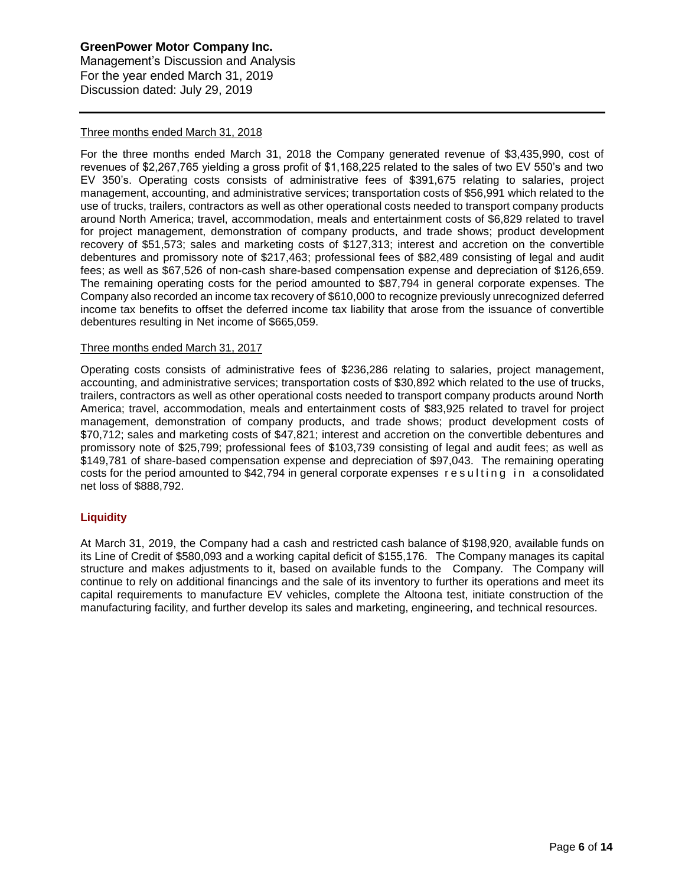### **GreenPower Motor Company Inc.** Management's Discussion and Analysis

For the year ended March 31, 2019 Discussion dated: July 29, 2019

## Three months ended March 31, 2018

For the three months ended March 31, 2018 the Company generated revenue of \$3,435,990, cost of revenues of \$2,267,765 yielding a gross profit of \$1,168,225 related to the sales of two EV 550's and two EV 350's. Operating costs consists of administrative fees of \$391,675 relating to salaries, project management, accounting, and administrative services; transportation costs of \$56,991 which related to the use of trucks, trailers, contractors as well as other operational costs needed to transport company products around North America; travel, accommodation, meals and entertainment costs of \$6,829 related to travel for project management, demonstration of company products, and trade shows; product development recovery of \$51,573; sales and marketing costs of \$127,313; interest and accretion on the convertible debentures and promissory note of \$217,463; professional fees of \$82,489 consisting of legal and audit fees; as well as \$67,526 of non-cash share-based compensation expense and depreciation of \$126,659. The remaining operating costs for the period amounted to \$87,794 in general corporate expenses. The Company also recorded an income tax recovery of \$610,000 to recognize previously unrecognized deferred income tax benefits to offset the deferred income tax liability that arose from the issuance of convertible debentures resulting in Net income of \$665,059.

## Three months ended March 31, 2017

Operating costs consists of administrative fees of \$236,286 relating to salaries, project management, accounting, and administrative services; transportation costs of \$30,892 which related to the use of trucks, trailers, contractors as well as other operational costs needed to transport company products around North America; travel, accommodation, meals and entertainment costs of \$83,925 related to travel for project management, demonstration of company products, and trade shows; product development costs of \$70,712; sales and marketing costs of \$47,821; interest and accretion on the convertible debentures and promissory note of \$25,799; professional fees of \$103,739 consisting of legal and audit fees; as well as \$149,781 of share-based compensation expense and depreciation of \$97,043. The remaining operating costs for the period amounted to  $$42,794$  in general corporate expenses resulting in a consolidated net loss of \$888,792.

## **Liquidity**

At March 31, 2019, the Company had a cash and restricted cash balance of \$198,920, available funds on its Line of Credit of \$580,093 and a working capital deficit of \$155,176. The Company manages its capital structure and makes adjustments to it, based on available funds to the Company. The Company will continue to rely on additional financings and the sale of its inventory to further its operations and meet its capital requirements to manufacture EV vehicles, complete the Altoona test, initiate construction of the manufacturing facility, and further develop its sales and marketing, engineering, and technical resources.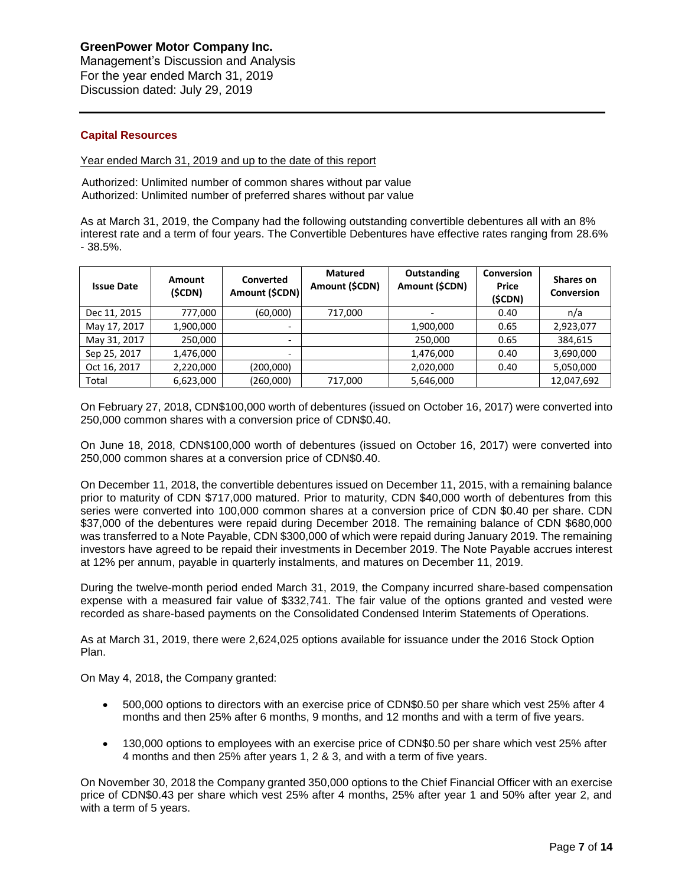Management's Discussion and Analysis For the year ended March 31, 2019 Discussion dated: July 29, 2019

## **Capital Resources**

Year ended March 31, 2019 and up to the date of this report

Authorized: Unlimited number of common shares without par value Authorized: Unlimited number of preferred shares without par value

As at March 31, 2019, the Company had the following outstanding convertible debentures all with an 8% interest rate and a term of four years. The Convertible Debentures have effective rates ranging from 28.6% - 38.5%.

| <b>Issue Date</b> | <b>Amount</b><br>(\$CDN) | Converted<br>Amount (\$CDN) | <b>Matured</b><br>Amount (\$CDN) | Outstanding<br>Amount (\$CDN) | Conversion<br><b>Price</b><br>(\$CDN) | Shares on<br>Conversion |
|-------------------|--------------------------|-----------------------------|----------------------------------|-------------------------------|---------------------------------------|-------------------------|
| Dec 11, 2015      | 777.000                  | (60,000)                    | 717,000                          | $\overline{\phantom{0}}$      | 0.40                                  | n/a                     |
| May 17, 2017      | 1,900,000                | $\overline{\phantom{0}}$    |                                  | 1,900,000                     | 0.65                                  | 2,923,077               |
| May 31, 2017      | 250,000                  | $\overline{\phantom{0}}$    |                                  | 250,000                       | 0.65                                  | 384,615                 |
| Sep 25, 2017      | 1,476,000                | $\overline{\phantom{0}}$    |                                  | 1,476,000                     | 0.40                                  | 3,690,000               |
| Oct 16, 2017      | 2,220,000                | (200,000)                   |                                  | 2,020,000                     | 0.40                                  | 5,050,000               |
| Total             | 6,623,000                | (260,000)                   | 717,000                          | 5,646,000                     |                                       | 12,047,692              |

On February 27, 2018, CDN\$100,000 worth of debentures (issued on October 16, 2017) were converted into 250,000 common shares with a conversion price of CDN\$0.40.

On June 18, 2018, CDN\$100,000 worth of debentures (issued on October 16, 2017) were converted into 250,000 common shares at a conversion price of CDN\$0.40.

On December 11, 2018, the convertible debentures issued on December 11, 2015, with a remaining balance prior to maturity of CDN \$717,000 matured. Prior to maturity, CDN \$40,000 worth of debentures from this series were converted into 100,000 common shares at a conversion price of CDN \$0.40 per share. CDN \$37,000 of the debentures were repaid during December 2018. The remaining balance of CDN \$680,000 was transferred to a Note Payable, CDN \$300,000 of which were repaid during January 2019. The remaining investors have agreed to be repaid their investments in December 2019. The Note Payable accrues interest at 12% per annum, payable in quarterly instalments, and matures on December 11, 2019.

During the twelve-month period ended March 31, 2019, the Company incurred share-based compensation expense with a measured fair value of \$332,741. The fair value of the options granted and vested were recorded as share-based payments on the Consolidated Condensed Interim Statements of Operations.

As at March 31, 2019, there were 2,624,025 options available for issuance under the 2016 Stock Option Plan.

On May 4, 2018, the Company granted:

- 500,000 options to directors with an exercise price of CDN\$0.50 per share which vest 25% after 4 months and then 25% after 6 months, 9 months, and 12 months and with a term of five years.
- 130,000 options to employees with an exercise price of CDN\$0.50 per share which vest 25% after 4 months and then 25% after years 1, 2 & 3, and with a term of five years.

On November 30, 2018 the Company granted 350,000 options to the Chief Financial Officer with an exercise price of CDN\$0.43 per share which vest 25% after 4 months, 25% after year 1 and 50% after year 2, and with a term of 5 years.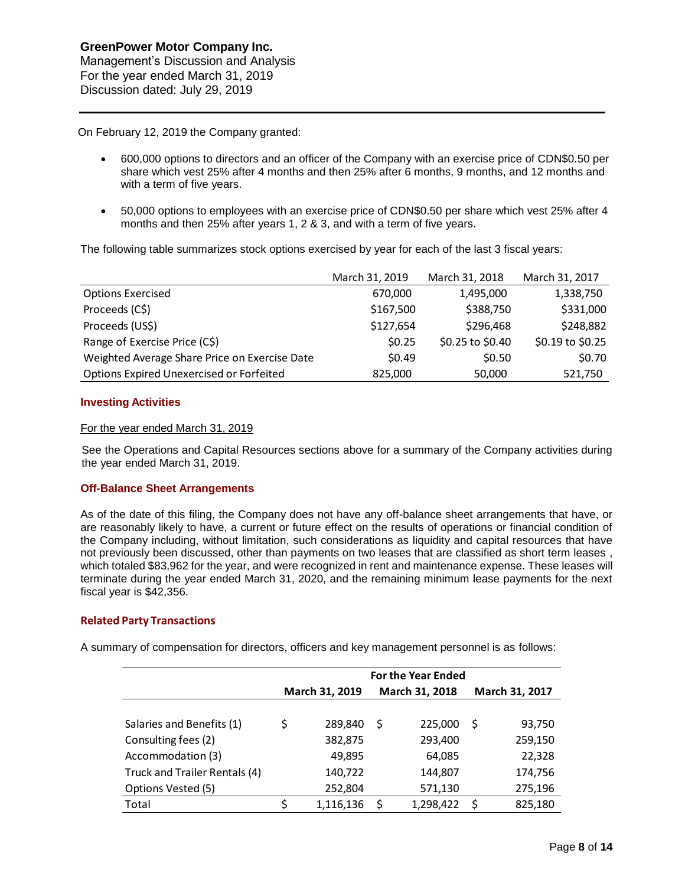On February 12, 2019 the Company granted:

- 600,000 options to directors and an officer of the Company with an exercise price of CDN\$0.50 per share which vest 25% after 4 months and then 25% after 6 months, 9 months, and 12 months and with a term of five years.
- 50,000 options to employees with an exercise price of CDN\$0.50 per share which vest 25% after 4 months and then 25% after years 1, 2 & 3, and with a term of five years.

The following table summarizes stock options exercised by year for each of the last 3 fiscal years:

|                                               | March 31, 2019 | March 31, 2018   | March 31, 2017   |
|-----------------------------------------------|----------------|------------------|------------------|
| <b>Options Exercised</b>                      | 670,000        | 1,495,000        | 1,338,750        |
| Proceeds (C\$)                                | \$167,500      | \$388,750        | \$331,000        |
| Proceeds (US\$)                               | \$127,654      | \$296,468        | \$248,882        |
| Range of Exercise Price (C\$)                 | \$0.25         | \$0.25 to \$0.40 | \$0.19 to \$0.25 |
| Weighted Average Share Price on Exercise Date | \$0.49         | \$0.50           | \$0.70           |
| Options Expired Unexercised or Forfeited      | 825,000        | 50,000           | 521,750          |

### **Investing Activities**

### For the year ended March 31, 2019

See the Operations and Capital Resources sections above for a summary of the Company activities during the year ended March 31, 2019.

### **Off-Balance Sheet Arrangements**

As of the date of this filing, the Company does not have any off-balance sheet arrangements that have, or are reasonably likely to have, a current or future effect on the results of operations or financial condition of the Company including, without limitation, such considerations as liquidity and capital resources that have not previously been discussed, other than payments on two leases that are classified as short term leases , which totaled \$83,962 for the year, and were recognized in rent and maintenance expense. These leases will terminate during the year ended March 31, 2020, and the remaining minimum lease payments for the next fiscal year is \$42,356.

### **Related Party Transactions**

A summary of compensation for directors, officers and key management personnel is as follows:

|                               | <b>For the Year Ended</b> |           |   |                |   |                |  |  |  |
|-------------------------------|---------------------------|-----------|---|----------------|---|----------------|--|--|--|
|                               | March 31, 2019            |           |   | March 31, 2018 |   | March 31, 2017 |  |  |  |
|                               |                           |           |   |                |   |                |  |  |  |
| Salaries and Benefits (1)     | \$                        | 289,840   | S | 225,000        | S | 93,750         |  |  |  |
| Consulting fees (2)           |                           | 382,875   |   | 293,400        |   | 259,150        |  |  |  |
| Accommodation (3)             |                           | 49,895    |   | 64,085         |   | 22,328         |  |  |  |
| Truck and Trailer Rentals (4) |                           | 140,722   |   | 144,807        |   | 174,756        |  |  |  |
| Options Vested (5)            |                           | 252,804   |   | 571,130        |   | 275,196        |  |  |  |
| Total                         | ς                         | 1,116,136 | ς | 1,298,422      | Ś | 825,180        |  |  |  |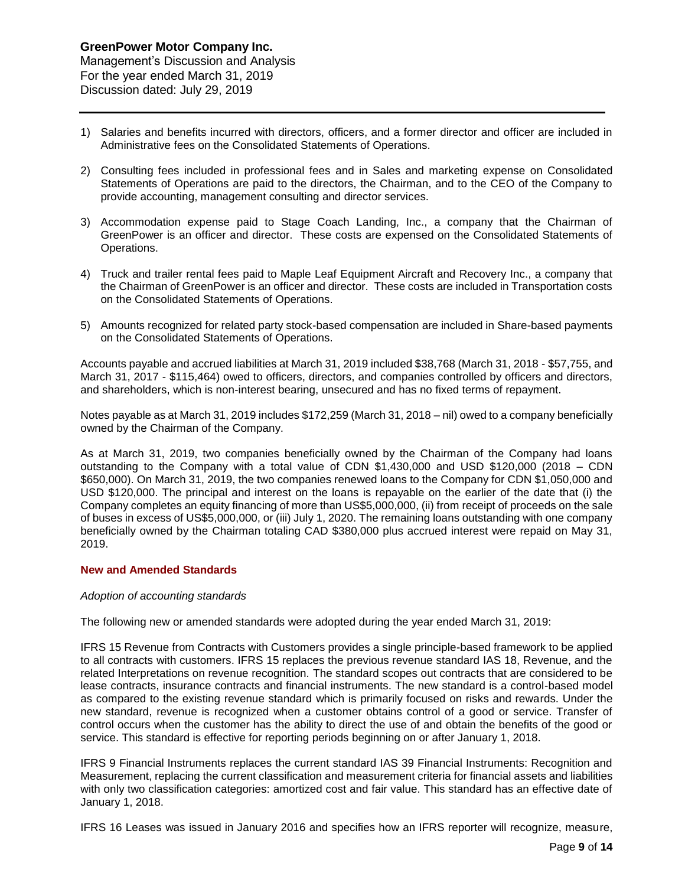For the year ended March 31, 2019 Discussion dated: July 29, 2019

- 1) Salaries and benefits incurred with directors, officers, and a former director and officer are included in Administrative fees on the Consolidated Statements of Operations.
- 2) Consulting fees included in professional fees and in Sales and marketing expense on Consolidated Statements of Operations are paid to the directors, the Chairman, and to the CEO of the Company to provide accounting, management consulting and director services.
- 3) Accommodation expense paid to Stage Coach Landing, Inc., a company that the Chairman of GreenPower is an officer and director. These costs are expensed on the Consolidated Statements of Operations.
- 4) Truck and trailer rental fees paid to Maple Leaf Equipment Aircraft and Recovery Inc., a company that the Chairman of GreenPower is an officer and director. These costs are included in Transportation costs on the Consolidated Statements of Operations.
- 5) Amounts recognized for related party stock-based compensation are included in Share-based payments on the Consolidated Statements of Operations.

Accounts payable and accrued liabilities at March 31, 2019 included \$38,768 (March 31, 2018 - \$57,755, and March 31, 2017 - \$115,464) owed to officers, directors, and companies controlled by officers and directors, and shareholders, which is non-interest bearing, unsecured and has no fixed terms of repayment.

Notes payable as at March 31, 2019 includes \$172,259 (March 31, 2018 – nil) owed to a company beneficially owned by the Chairman of the Company.

As at March 31, 2019, two companies beneficially owned by the Chairman of the Company had loans outstanding to the Company with a total value of CDN \$1,430,000 and USD \$120,000 (2018 – CDN \$650,000). On March 31, 2019, the two companies renewed loans to the Company for CDN \$1,050,000 and USD \$120,000. The principal and interest on the loans is repayable on the earlier of the date that (i) the Company completes an equity financing of more than US\$5,000,000, (ii) from receipt of proceeds on the sale of buses in excess of US\$5,000,000, or (iii) July 1, 2020. The remaining loans outstanding with one company beneficially owned by the Chairman totaling CAD \$380,000 plus accrued interest were repaid on May 31, 2019.

### **New and Amended Standards**

### *Adoption of accounting standards*

The following new or amended standards were adopted during the year ended March 31, 2019:

IFRS 15 Revenue from Contracts with Customers provides a single principle-based framework to be applied to all contracts with customers. IFRS 15 replaces the previous revenue standard IAS 18, Revenue, and the related Interpretations on revenue recognition. The standard scopes out contracts that are considered to be lease contracts, insurance contracts and financial instruments. The new standard is a control-based model as compared to the existing revenue standard which is primarily focused on risks and rewards. Under the new standard, revenue is recognized when a customer obtains control of a good or service. Transfer of control occurs when the customer has the ability to direct the use of and obtain the benefits of the good or service. This standard is effective for reporting periods beginning on or after January 1, 2018.

IFRS 9 Financial Instruments replaces the current standard IAS 39 Financial Instruments: Recognition and Measurement, replacing the current classification and measurement criteria for financial assets and liabilities with only two classification categories: amortized cost and fair value. This standard has an effective date of January 1, 2018.

IFRS 16 Leases was issued in January 2016 and specifies how an IFRS reporter will recognize, measure,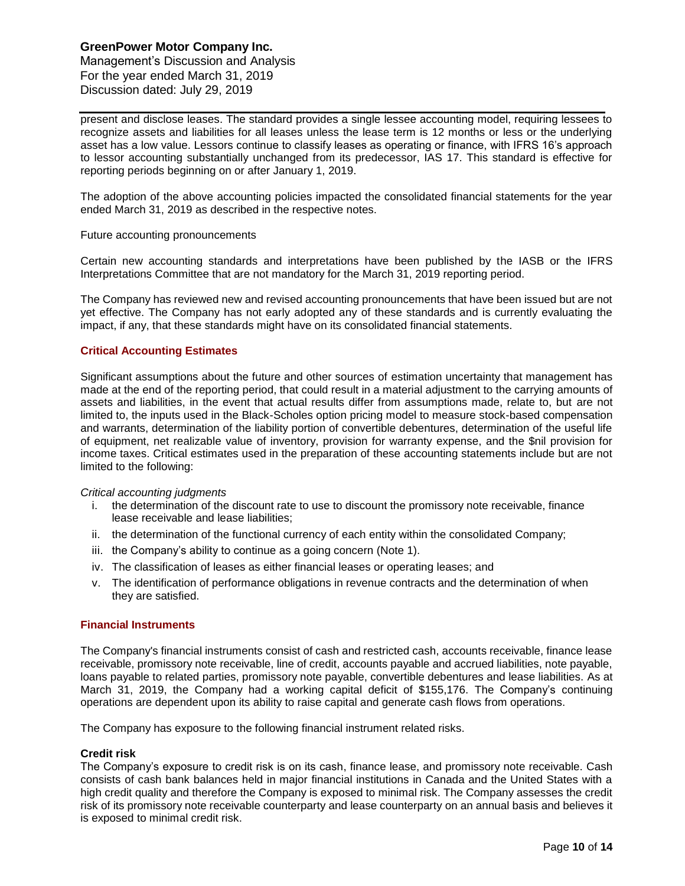Management's Discussion and Analysis For the year ended March 31, 2019 Discussion dated: July 29, 2019

present and disclose leases. The standard provides a single lessee accounting model, requiring lessees to recognize assets and liabilities for all leases unless the lease term is 12 months or less or the underlying asset has a low value. Lessors continue to classify leases as operating or finance, with IFRS 16's approach to lessor accounting substantially unchanged from its predecessor, IAS 17. This standard is effective for reporting periods beginning on or after January 1, 2019.

The adoption of the above accounting policies impacted the consolidated financial statements for the year ended March 31, 2019 as described in the respective notes.

#### Future accounting pronouncements

Certain new accounting standards and interpretations have been published by the IASB or the IFRS Interpretations Committee that are not mandatory for the March 31, 2019 reporting period.

The Company has reviewed new and revised accounting pronouncements that have been issued but are not yet effective. The Company has not early adopted any of these standards and is currently evaluating the impact, if any, that these standards might have on its consolidated financial statements.

### **Critical Accounting Estimates**

Significant assumptions about the future and other sources of estimation uncertainty that management has made at the end of the reporting period, that could result in a material adjustment to the carrying amounts of assets and liabilities, in the event that actual results differ from assumptions made, relate to, but are not limited to, the inputs used in the Black-Scholes option pricing model to measure stock-based compensation and warrants, determination of the liability portion of convertible debentures, determination of the useful life of equipment, net realizable value of inventory, provision for warranty expense, and the \$nil provision for income taxes. Critical estimates used in the preparation of these accounting statements include but are not limited to the following:

#### *Critical accounting judgments*

- i. the determination of the discount rate to use to discount the promissory note receivable, finance lease receivable and lease liabilities;
- ii. the determination of the functional currency of each entity within the consolidated Company;
- iii. the Company's ability to continue as a going concern (Note 1).
- iv. The classification of leases as either financial leases or operating leases; and
- v. The identification of performance obligations in revenue contracts and the determination of when they are satisfied.

#### **Financial Instruments**

The Company's financial instruments consist of cash and restricted cash, accounts receivable, finance lease receivable, promissory note receivable, line of credit, accounts payable and accrued liabilities, note payable, loans payable to related parties, promissory note payable, convertible debentures and lease liabilities. As at March 31, 2019, the Company had a working capital deficit of \$155,176. The Company's continuing operations are dependent upon its ability to raise capital and generate cash flows from operations.

The Company has exposure to the following financial instrument related risks.

#### **Credit risk**

The Company's exposure to credit risk is on its cash, finance lease, and promissory note receivable. Cash consists of cash bank balances held in major financial institutions in Canada and the United States with a high credit quality and therefore the Company is exposed to minimal risk. The Company assesses the credit risk of its promissory note receivable counterparty and lease counterparty on an annual basis and believes it is exposed to minimal credit risk.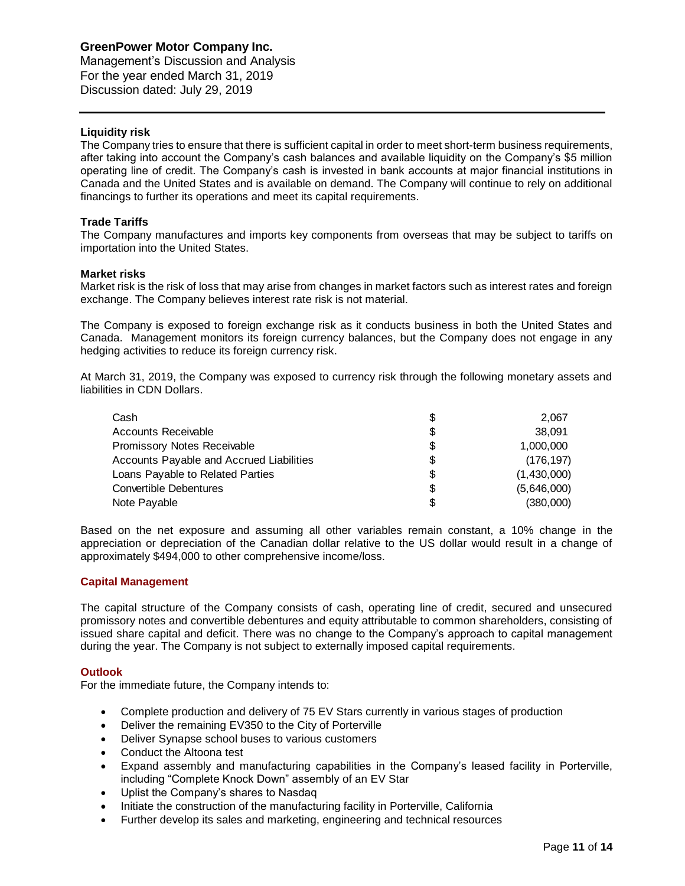Management's Discussion and Analysis For the year ended March 31, 2019 Discussion dated: July 29, 2019

### **Liquidity risk**

The Company tries to ensure that there is sufficient capital in order to meet short-term business requirements, after taking into account the Company's cash balances and available liquidity on the Company's \$5 million operating line of credit. The Company's cash is invested in bank accounts at major financial institutions in Canada and the United States and is available on demand. The Company will continue to rely on additional financings to further its operations and meet its capital requirements.

## **Trade Tariffs**

The Company manufactures and imports key components from overseas that may be subject to tariffs on importation into the United States.

### **Market risks**

Market risk is the risk of loss that may arise from changes in market factors such as interest rates and foreign exchange. The Company believes interest rate risk is not material.

The Company is exposed to foreign exchange risk as it conducts business in both the United States and Canada. Management monitors its foreign currency balances, but the Company does not engage in any hedging activities to reduce its foreign currency risk.

At March 31, 2019, the Company was exposed to currency risk through the following monetary assets and liabilities in CDN Dollars.

| Cash                                     | \$ | 2.067       |
|------------------------------------------|----|-------------|
| <b>Accounts Receivable</b>               | S  | 38.091      |
| Promissory Notes Receivable              | \$ | 1,000,000   |
| Accounts Payable and Accrued Liabilities | \$ | (176, 197)  |
| Loans Payable to Related Parties         | S  | (1,430,000) |
| <b>Convertible Debentures</b>            | \$ | (5,646,000) |
| Note Payable                             |    | (380,000)   |

Based on the net exposure and assuming all other variables remain constant, a 10% change in the appreciation or depreciation of the Canadian dollar relative to the US dollar would result in a change of approximately \$494,000 to other comprehensive income/loss.

### **Capital Management**

The capital structure of the Company consists of cash, operating line of credit, secured and unsecured promissory notes and convertible debentures and equity attributable to common shareholders, consisting of issued share capital and deficit. There was no change to the Company's approach to capital management during the year. The Company is not subject to externally imposed capital requirements.

### **Outlook**

For the immediate future, the Company intends to:

- Complete production and delivery of 75 EV Stars currently in various stages of production
- Deliver the remaining EV350 to the City of Porterville
- Deliver Synapse school buses to various customers
- Conduct the Altoona test
- Expand assembly and manufacturing capabilities in the Company's leased facility in Porterville, including "Complete Knock Down" assembly of an EV Star
- Uplist the Company's shares to Nasdaq
- Initiate the construction of the manufacturing facility in Porterville, California
- Further develop its sales and marketing, engineering and technical resources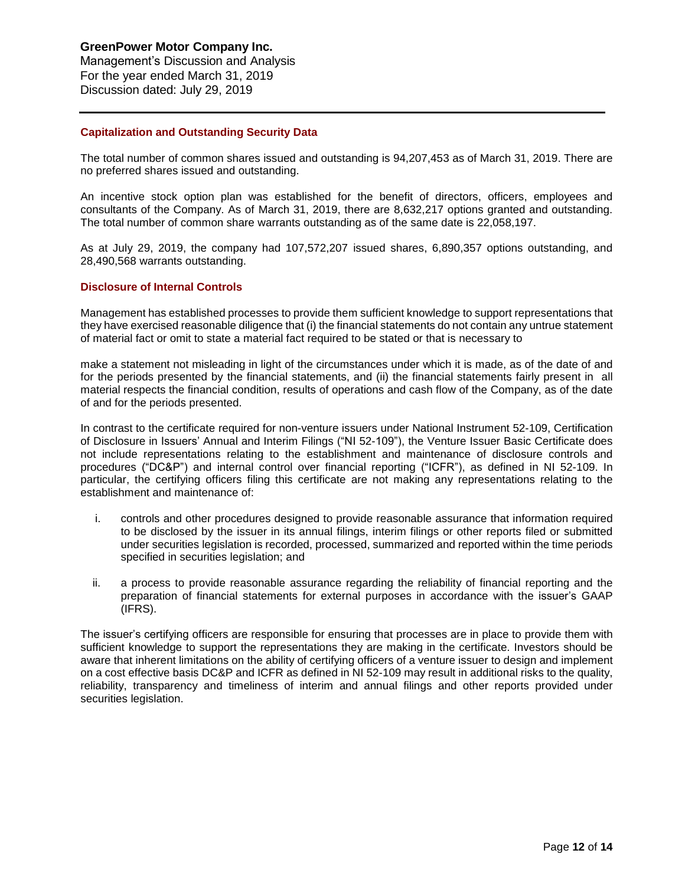Management's Discussion and Analysis For the year ended March 31, 2019 Discussion dated: July 29, 2019

### **Capitalization and Outstanding Security Data**

The total number of common shares issued and outstanding is 94,207,453 as of March 31, 2019. There are no preferred shares issued and outstanding.

An incentive stock option plan was established for the benefit of directors, officers, employees and consultants of the Company. As of March 31, 2019, there are 8,632,217 options granted and outstanding. The total number of common share warrants outstanding as of the same date is 22,058,197.

As at July 29, 2019, the company had 107,572,207 issued shares, 6,890,357 options outstanding, and 28,490,568 warrants outstanding.

### **Disclosure of Internal Controls**

Management has established processes to provide them sufficient knowledge to support representations that they have exercised reasonable diligence that (i) the financial statements do not contain any untrue statement of material fact or omit to state a material fact required to be stated or that is necessary to

make a statement not misleading in light of the circumstances under which it is made, as of the date of and for the periods presented by the financial statements, and (ii) the financial statements fairly present in all material respects the financial condition, results of operations and cash flow of the Company, as of the date of and for the periods presented.

In contrast to the certificate required for non-venture issuers under National Instrument 52-109, Certification of Disclosure in Issuers' Annual and Interim Filings ("NI 52-109"), the Venture Issuer Basic Certificate does not include representations relating to the establishment and maintenance of disclosure controls and procedures ("DC&P") and internal control over financial reporting ("ICFR"), as defined in NI 52-109. In particular, the certifying officers filing this certificate are not making any representations relating to the establishment and maintenance of:

- i. controls and other procedures designed to provide reasonable assurance that information required to be disclosed by the issuer in its annual filings, interim filings or other reports filed or submitted under securities legislation is recorded, processed, summarized and reported within the time periods specified in securities legislation; and
- ii. a process to provide reasonable assurance regarding the reliability of financial reporting and the preparation of financial statements for external purposes in accordance with the issuer's GAAP (IFRS).

The issuer's certifying officers are responsible for ensuring that processes are in place to provide them with sufficient knowledge to support the representations they are making in the certificate. Investors should be aware that inherent limitations on the ability of certifying officers of a venture issuer to design and implement on a cost effective basis DC&P and ICFR as defined in NI 52-109 may result in additional risks to the quality, reliability, transparency and timeliness of interim and annual filings and other reports provided under securities legislation.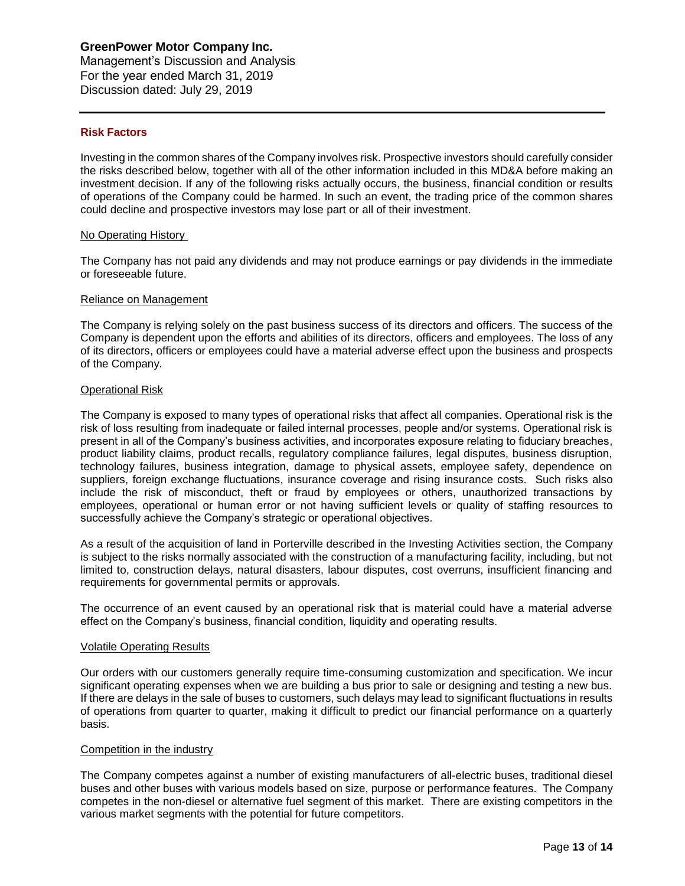Management's Discussion and Analysis For the year ended March 31, 2019 Discussion dated: July 29, 2019

### **Risk Factors**

Investing in the common shares of the Company involves risk. Prospective investors should carefully consider the risks described below, together with all of the other information included in this MD&A before making an investment decision. If any of the following risks actually occurs, the business, financial condition or results of operations of the Company could be harmed. In such an event, the trading price of the common shares could decline and prospective investors may lose part or all of their investment.

### No Operating History

The Company has not paid any dividends and may not produce earnings or pay dividends in the immediate or foreseeable future.

### Reliance on Management

The Company is relying solely on the past business success of its directors and officers. The success of the Company is dependent upon the efforts and abilities of its directors, officers and employees. The loss of any of its directors, officers or employees could have a material adverse effect upon the business and prospects of the Company.

### Operational Risk

The Company is exposed to many types of operational risks that affect all companies. Operational risk is the risk of loss resulting from inadequate or failed internal processes, people and/or systems. Operational risk is present in all of the Company's business activities, and incorporates exposure relating to fiduciary breaches, product liability claims, product recalls, regulatory compliance failures, legal disputes, business disruption, technology failures, business integration, damage to physical assets, employee safety, dependence on suppliers, foreign exchange fluctuations, insurance coverage and rising insurance costs. Such risks also include the risk of misconduct, theft or fraud by employees or others, unauthorized transactions by employees, operational or human error or not having sufficient levels or quality of staffing resources to successfully achieve the Company's strategic or operational objectives.

As a result of the acquisition of land in Porterville described in the Investing Activities section, the Company is subject to the risks normally associated with the construction of a manufacturing facility, including, but not limited to, construction delays, natural disasters, labour disputes, cost overruns, insufficient financing and requirements for governmental permits or approvals.

The occurrence of an event caused by an operational risk that is material could have a material adverse effect on the Company's business, financial condition, liquidity and operating results.

#### Volatile Operating Results

Our orders with our customers generally require time-consuming customization and specification. We incur significant operating expenses when we are building a bus prior to sale or designing and testing a new bus. If there are delays in the sale of buses to customers, such delays may lead to significant fluctuations in results of operations from quarter to quarter, making it difficult to predict our financial performance on a quarterly basis.

### Competition in the industry

The Company competes against a number of existing manufacturers of all-electric buses, traditional diesel buses and other buses with various models based on size, purpose or performance features. The Company competes in the non-diesel or alternative fuel segment of this market. There are existing competitors in the various market segments with the potential for future competitors.